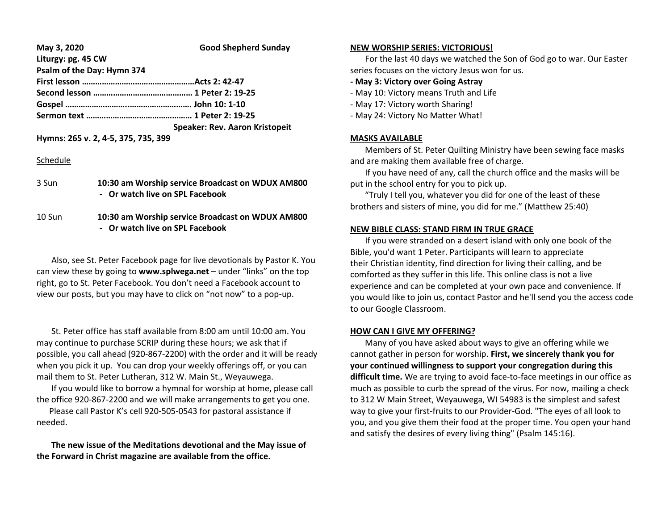| May 3, 2020                | <b>Good Shepherd Sunday</b>           |
|----------------------------|---------------------------------------|
| Liturgy: pg. 45 CW         |                                       |
| Psalm of the Day: Hymn 374 |                                       |
|                            |                                       |
|                            |                                       |
|                            |                                       |
|                            |                                       |
|                            | <b>Speaker: Rev. Aaron Kristopeit</b> |

**Hymns: 265 v. 2, 4-5, 375, 735, 399**

## Schedule

| 3 Sun                                 | 10:30 am Worship service Broadcast on WDUX AM800    |  |
|---------------------------------------|-----------------------------------------------------|--|
|                                       | - Or watch live on SPL Facebook                     |  |
| $\Lambda$ $\Lambda$ $\Gamma$ $\ldots$ | 40.30 and Wendels against Busselesst on WBUW ABROOK |  |

10 Sun **10:30 am Worship service Broadcast on WDUX AM800 - Or watch live on SPL Facebook**

 Also, see St. Peter Facebook page for live devotionals by Pastor K. You can view these by going to **www.splwega.net** – under "links" on the top right, go to St. Peter Facebook. You don't need a Facebook account to view our posts, but you may have to click on "not now" to a pop-up.

 St. Peter office has staff available from 8:00 am until 10:00 am. You may continue to purchase SCRIP during these hours; we ask that if possible, you call ahead (920-867-2200) with the order and it will be ready when you pick it up. You can drop your weekly offerings off, or you can mail them to St. Peter Lutheran, 312 W. Main St., Weyauwega.

 If you would like to borrow a hymnal for worship at home, please call the office 920-867-2200 and we will make arrangements to get you one.

 Please call Pastor K's cell 920-505-0543 for pastoral assistance if needed.

 **The new issue of the Meditations devotional and the May issue of the Forward in Christ magazine are available from the office.**

#### **NEW WORSHIP SERIES: VICTORIOUS!**

 For the last 40 days we watched the Son of God go to war. Our Easter series focuses on the victory Jesus won for us.

- **- May 3: Victory over Going Astray**
- May 10: Victory means Truth and Life
- May 17: Victory worth Sharing!
- May 24: Victory No Matter What!

## **MASKS AVAILABLE**

 Members of St. Peter Quilting Ministry have been sewing face masks and are making them available free of charge.

 If you have need of any, call the church office and the masks will be put in the school entry for you to pick up.

 "Truly I tell you, whatever you did for one of the least of these brothers and sisters of mine, you did for me." (Matthew 25:40)

### **NEW BIBLE CLASS: STAND FIRM IN TRUE GRACE**

 If you were stranded on a desert island with only one book of the Bible, you'd want 1 Peter. Participants will learn to appreciate their Christian identity, find direction for living their calling, and be comforted as they suffer in this life. This online class is not a live experience and can be completed at your own pace and convenience. If you would like to join us, contact Pastor and he'll send you the access code to our Google Classroom.

## **HOW CAN I GIVE MY OFFERING?**

 Many of you have asked about ways to give an offering while we cannot gather in person for worship. **First, we sincerely thank you for your continued willingness to support your congregation during this difficult time.** We are trying to avoid face-to-face meetings in our office as much as possible to curb the spread of the virus. For now, mailing a check to 312 W Main Street, Weyauwega, WI 54983 is the simplest and safest way to give your first-fruits to our Provider-God. "The eyes of all look to you, and you give them their food at the proper time. You open your hand and satisfy the desires of every living thing" (Psalm 145:16).